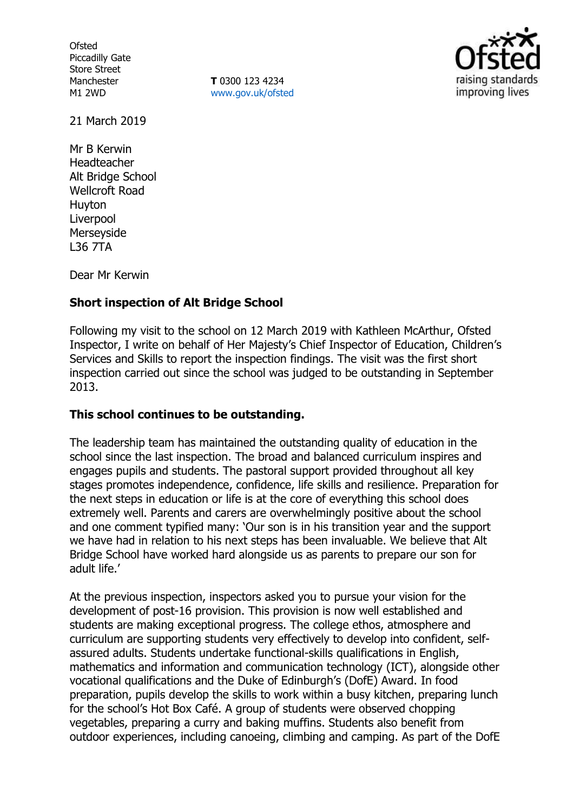**Ofsted** Piccadilly Gate Store Street Manchester M1 2WD

**T** 0300 123 4234 www.gov.uk/ofsted



21 March 2019

Mr B Kerwin Headteacher Alt Bridge School Wellcroft Road Huyton Liverpool Merseyside L36 7TA

Dear Mr Kerwin

# **Short inspection of Alt Bridge School**

Following my visit to the school on 12 March 2019 with Kathleen McArthur, Ofsted Inspector, I write on behalf of Her Majesty's Chief Inspector of Education, Children's Services and Skills to report the inspection findings. The visit was the first short inspection carried out since the school was judged to be outstanding in September 2013.

## **This school continues to be outstanding.**

The leadership team has maintained the outstanding quality of education in the school since the last inspection. The broad and balanced curriculum inspires and engages pupils and students. The pastoral support provided throughout all key stages promotes independence, confidence, life skills and resilience. Preparation for the next steps in education or life is at the core of everything this school does extremely well. Parents and carers are overwhelmingly positive about the school and one comment typified many: 'Our son is in his transition year and the support we have had in relation to his next steps has been invaluable. We believe that Alt Bridge School have worked hard alongside us as parents to prepare our son for adult life.'

At the previous inspection, inspectors asked you to pursue your vision for the development of post-16 provision. This provision is now well established and students are making exceptional progress. The college ethos, atmosphere and curriculum are supporting students very effectively to develop into confident, selfassured adults. Students undertake functional-skills qualifications in English, mathematics and information and communication technology (ICT), alongside other vocational qualifications and the Duke of Edinburgh's (DofE) Award. In food preparation, pupils develop the skills to work within a busy kitchen, preparing lunch for the school's Hot Box Café. A group of students were observed chopping vegetables, preparing a curry and baking muffins. Students also benefit from outdoor experiences, including canoeing, climbing and camping. As part of the DofE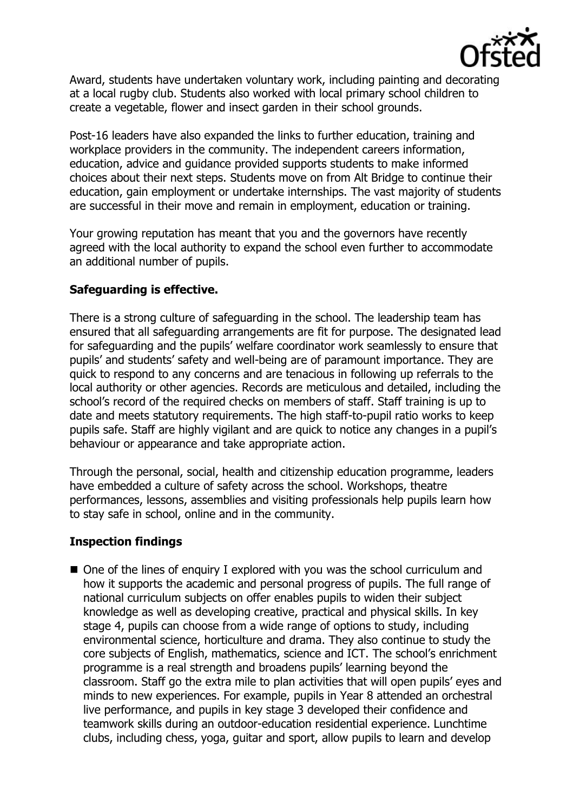

Award, students have undertaken voluntary work, including painting and decorating at a local rugby club. Students also worked with local primary school children to create a vegetable, flower and insect garden in their school grounds.

Post-16 leaders have also expanded the links to further education, training and workplace providers in the community. The independent careers information, education, advice and guidance provided supports students to make informed choices about their next steps. Students move on from Alt Bridge to continue their education, gain employment or undertake internships. The vast majority of students are successful in their move and remain in employment, education or training.

Your growing reputation has meant that you and the governors have recently agreed with the local authority to expand the school even further to accommodate an additional number of pupils.

# **Safeguarding is effective.**

There is a strong culture of safeguarding in the school. The leadership team has ensured that all safeguarding arrangements are fit for purpose. The designated lead for safeguarding and the pupils' welfare coordinator work seamlessly to ensure that pupils' and students' safety and well-being are of paramount importance. They are quick to respond to any concerns and are tenacious in following up referrals to the local authority or other agencies. Records are meticulous and detailed, including the school's record of the required checks on members of staff. Staff training is up to date and meets statutory requirements. The high staff-to-pupil ratio works to keep pupils safe. Staff are highly vigilant and are quick to notice any changes in a pupil's behaviour or appearance and take appropriate action.

Through the personal, social, health and citizenship education programme, leaders have embedded a culture of safety across the school. Workshops, theatre performances, lessons, assemblies and visiting professionals help pupils learn how to stay safe in school, online and in the community.

# **Inspection findings**

■ One of the lines of enquiry I explored with you was the school curriculum and how it supports the academic and personal progress of pupils. The full range of national curriculum subjects on offer enables pupils to widen their subject knowledge as well as developing creative, practical and physical skills. In key stage 4, pupils can choose from a wide range of options to study, including environmental science, horticulture and drama. They also continue to study the core subjects of English, mathematics, science and ICT. The school's enrichment programme is a real strength and broadens pupils' learning beyond the classroom. Staff go the extra mile to plan activities that will open pupils' eyes and minds to new experiences. For example, pupils in Year 8 attended an orchestral live performance, and pupils in key stage 3 developed their confidence and teamwork skills during an outdoor-education residential experience. Lunchtime clubs, including chess, yoga, guitar and sport, allow pupils to learn and develop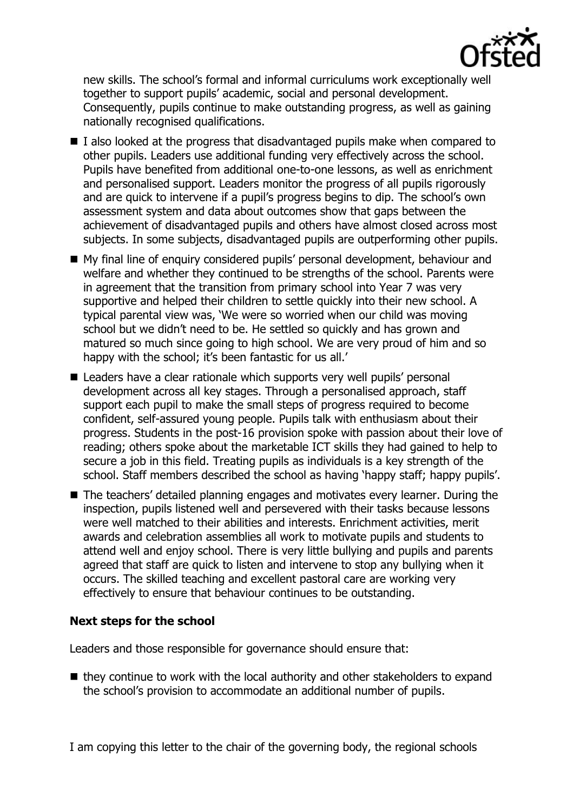

new skills. The school's formal and informal curriculums work exceptionally well together to support pupils' academic, social and personal development. Consequently, pupils continue to make outstanding progress, as well as gaining nationally recognised qualifications.

- $\blacksquare$  I also looked at the progress that disadvantaged pupils make when compared to other pupils. Leaders use additional funding very effectively across the school. Pupils have benefited from additional one-to-one lessons, as well as enrichment and personalised support. Leaders monitor the progress of all pupils rigorously and are quick to intervene if a pupil's progress begins to dip. The school's own assessment system and data about outcomes show that gaps between the achievement of disadvantaged pupils and others have almost closed across most subjects. In some subjects, disadvantaged pupils are outperforming other pupils.
- My final line of enquiry considered pupils' personal development, behaviour and welfare and whether they continued to be strengths of the school. Parents were in agreement that the transition from primary school into Year 7 was very supportive and helped their children to settle quickly into their new school. A typical parental view was, 'We were so worried when our child was moving school but we didn't need to be. He settled so quickly and has grown and matured so much since going to high school. We are very proud of him and so happy with the school; it's been fantastic for us all.'
- Leaders have a clear rationale which supports very well pupils' personal development across all key stages. Through a personalised approach, staff support each pupil to make the small steps of progress required to become confident, self-assured young people. Pupils talk with enthusiasm about their progress. Students in the post-16 provision spoke with passion about their love of reading; others spoke about the marketable ICT skills they had gained to help to secure a job in this field. Treating pupils as individuals is a key strength of the school. Staff members described the school as having 'happy staff; happy pupils'.
- The teachers' detailed planning engages and motivates every learner. During the inspection, pupils listened well and persevered with their tasks because lessons were well matched to their abilities and interests. Enrichment activities, merit awards and celebration assemblies all work to motivate pupils and students to attend well and enjoy school. There is very little bullying and pupils and parents agreed that staff are quick to listen and intervene to stop any bullying when it occurs. The skilled teaching and excellent pastoral care are working very effectively to ensure that behaviour continues to be outstanding.

## **Next steps for the school**

Leaders and those responsible for governance should ensure that:

 $\blacksquare$  they continue to work with the local authority and other stakeholders to expand the school's provision to accommodate an additional number of pupils.

I am copying this letter to the chair of the governing body, the regional schools